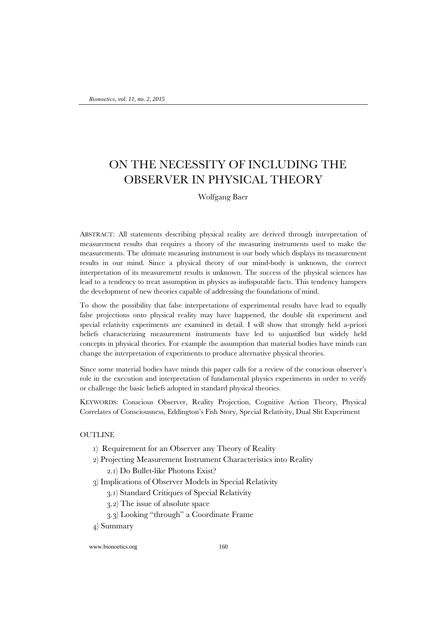# ON THE NECESSITY OF INCLUDING THE OBSERVER IN PHYSICAL THEORY

Wolfgang Baer

ABSTRACT: All statements describing physical reality are derived through interpretation of measurement results that requires a theory of the measuring instruments used to make the measurements. The ultimate measuring instrument is our body which displays its measurement results in our mind. Since a physical theory of our mind-body is unknown, the correct interpretation of its measurement results is unknown. The success of the physical sciences has lead to a tendency to treat assumption in physics as indisputable facts. This tendency hampers the development of new theories capable of addressing the foundations of mind.

To show the possibility that false interpretations of experimental results have lead to equally false projections onto physical reality may have happened, the double slit experiment and special relativity experiments are examined in detail. I will show that strongly held a-priori beliefs characterizing measurement instruments have led to unjustified but widely held concepts in physical theories. For example the assumption that material bodies have minds can change the interpretation of experiments to produce alternative physical theories.

Since some material bodies have minds this paper calls for a review of the conscious observer's role in the execution and interpretation of fundamental physics experiments in order to verify or challenge the basic beliefs adopted in standard physical theories.

KEYWORDS: Conscious Observer, Reality Projection, Cognitive Action Theory, Physical Correlates of Consciousness, Eddington's Fish Story, Special Relativity, Dual Slit Experiment

#### **OUTLINE**

- 1) Requirement for an Observer any Theory of Reality
- 2) Projecting Measurement Instrument Characteristics into Reality 2.1) Do Bullet-like Photons Exist?
- 3) Implications of Observer Models in Special Relativity
	- 3.1) Standard Critiques of Special Relativity
	- 3.2) The issue of absolute space
	- 3.3) Looking "through" a Coordinate Frame
- 4) Summary

www.bionoetics.org 160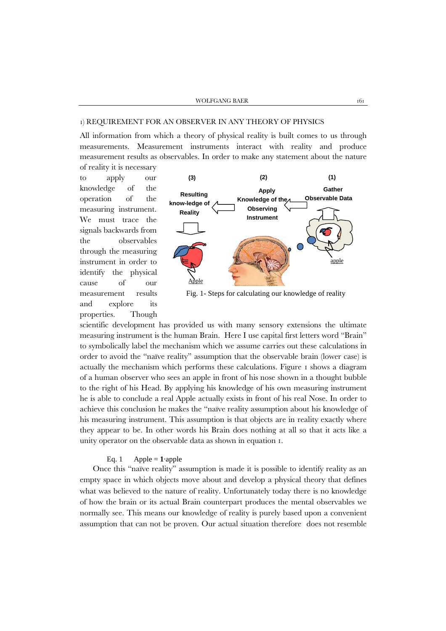#### 1) REQUIREMENT FOR AN OBSERVER IN ANY THEORY OF PHYSICS

All information from which a theory of physical reality is built comes to us through measurements. Measurement instruments interact with reality and produce measurement results as observables. In order to make any statement about the nature of reality it is necessary

to apply our knowledge of the operation of the measuring instrument. We must trace the signals backwards from the observables through the measuring instrument in order to identify the physical cause of our measurement results and explore its properties. Though



Fig. 1- Steps for calculating our knowledge of reality

scientific development has provided us with many sensory extensions the ultimate measuring instrument is the human Brain. Here I use capital first letters word "Brain" to symbolically label the mechanism which we assume carries out these calculations in order to avoid the "naïve reality" assumption that the observable brain (lower case) is actually the mechanism which performs these calculations. Figure 1 shows a diagram of a human observer who sees an apple in front of his nose shown in a thought bubble to the right of his Head. By applying his knowledge of his own measuring instrument he is able to conclude a real Apple actually exists in front of his real Nose. In order to achieve this conclusion he makes the "naïve reality assumption about his knowledge of his measuring instrument. This assumption is that objects are in reality exactly where they appear to be. In other words his Brain does nothing at all so that it acts like a unity operator on the observable data as shown in equation 1.

# Eq. 1 Apple =  $1$ ·apple

Once this "naïve reality" assumption is made it is possible to identify reality as an empty space in which objects move about and develop a physical theory that defines what was believed to the nature of reality. Unfortunately today there is no knowledge of how the brain or its actual Brain counterpart produces the mental observables we normally see. This means our knowledge of reality is purely based upon a convenient assumption that can not be proven. Our actual situation therefore does not resemble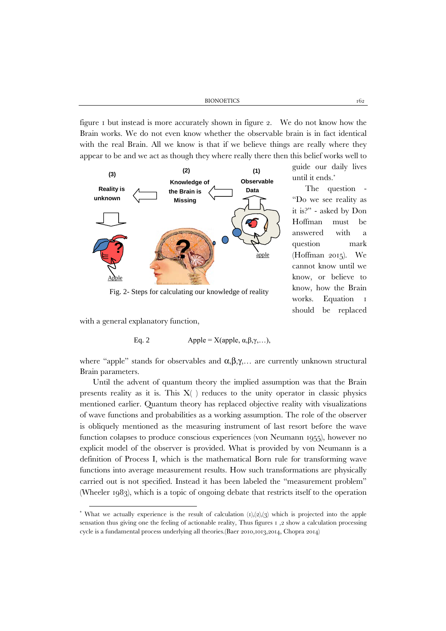figure 1 but instead is more accurately shown in figure 2. We do not know how the Brain works. We do not even know whether the observable brain is in fact identical with the real Brain. All we know is that if we believe things are really where they appear to be and we act as though they where really there then this belief works well to



Fig. 2- Steps for calculating our knowledge of reality

with a general explanatory function,

Eq. 2 Apple = X(apple, 
$$
\alpha, \beta, \gamma, ...
$$
),

where "apple" stands for observables and  $\alpha, \beta, \gamma, \ldots$  are currently unknown structural Brain parameters.

Until the advent of quantum theory the implied assumption was that the Brain presents reality as it is. This  $X( )$  reduces to the unity operator in classic physics mentioned earlier. Quantum theory has replaced objective reality with visualizations of wave functions and probabilities as a working assumption. The role of the observer is obliquely mentioned as the measuring instrument of last resort before the wave function colapses to produce conscious experiences (von Neumann 1955), however no explicit model of the observer is provided. What is provided by von Neumann is a definition of Process I, which is the mathematical Born rule for transforming wave functions into average measurement results. How such transformations are physically carried out is not specified. Instead it has been labeled the "measurement problem" (Wheeler 1983), which is a topic of ongoing debate that restricts itself to the operation

guide our daily lives

The question "Do we see reality as it is?" - asked by Don Hoffman must be answered with a question mark (Hoffman 2015). We cannot know until we know, or believe to know, how the Brain works. Equation 1 should be replaced

until it ends.[\\*](#page-2-0)

<span id="page-2-0"></span><sup>\*</sup> What we actually experience is the result of calculation  $(t)$ , $(2)$ , $(3)$  which is projected into the apple sensation thus giving one the feeling of actionable reality, Thus figures 1 ,2 show a calculation processing cycle is a fundamental process underlying all theories.(Baer 2010,1013,2014, Chopra 2014)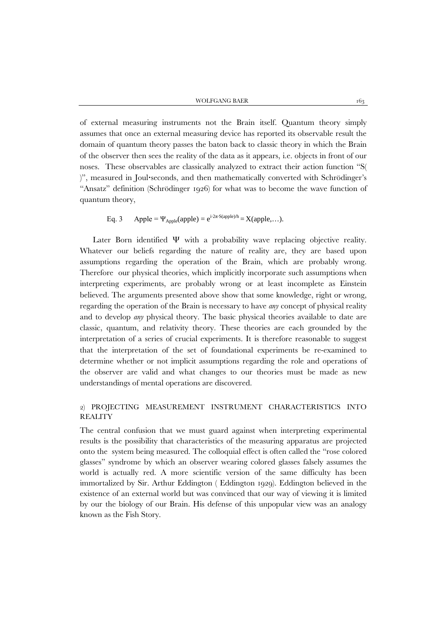of external measuring instruments not the Brain itself. Quantum theory simply assumes that once an external measuring device has reported its observable result the domain of quantum theory passes the baton back to classic theory in which the Brain of the observer then sees the reality of the data as it appears, i.e. objects in front of our noses. These observables are classically analyzed to extract their action function "S( )", measured in Joul∙seconds, and then mathematically converted with Schrödinger's "Ansatz" definition (Schrödinger 1926) for what was to become the wave function of quantum theory,

# Eq. 3 Apple =  $\Psi_{\text{Apple}}(\text{apple}) = e^{i \cdot 2\pi \cdot S(\text{apple})/h} = X(\text{apple}, \dots).$

Later Born identified Ψ with a probability wave replacing objective reality. Whatever our beliefs regarding the nature of reality are, they are based upon assumptions regarding the operation of the Brain, which are probably wrong. Therefore our physical theories, which implicitly incorporate such assumptions when interpreting experiments, are probably wrong or at least incomplete as Einstein believed. The arguments presented above show that some knowledge, right or wrong, regarding the operation of the Brain is necessary to have *any* concept of physical reality and to develop *any* physical theory. The basic physical theories available to date are classic, quantum, and relativity theory. These theories are each grounded by the interpretation of a series of crucial experiments. It is therefore reasonable to suggest that the interpretation of the set of foundational experiments be re-examined to determine whether or not implicit assumptions regarding the role and operations of the observer are valid and what changes to our theories must be made as new understandings of mental operations are discovered.

# 2) PROJECTING MEASUREMENT INSTRUMENT CHARACTERISTICS INTO **REALITY**

The central confusion that we must guard against when interpreting experimental results is the possibility that characteristics of the measuring apparatus are projected onto the system being measured. The colloquial effect is often called the "rose colored glasses" syndrome by which an observer wearing colored glasses falsely assumes the world is actually red. A more scientific version of the same difficulty has been immortalized by Sir. Arthur Eddington ( Eddington 1929). Eddington believed in the existence of an external world but was convinced that our way of viewing it is limited by our the biology of our Brain. His defense of this unpopular view was an analogy known as the Fish Story.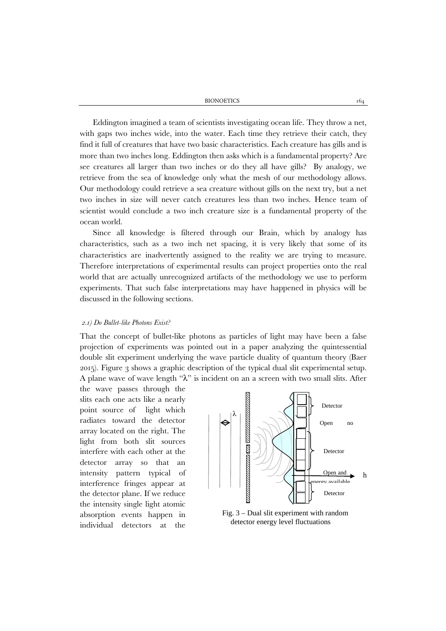BIONOETICS 164

Eddington imagined a team of scientists investigating ocean life. They throw a net, with gaps two inches wide, into the water. Each time they retrieve their catch, they find it full of creatures that have two basic characteristics. Each creature has gills and is more than two inches long. Eddington then asks which is a fundamental property? Are see creatures all larger than two inches or do they all have gills? By analogy, we retrieve from the sea of knowledge only what the mesh of our methodology allows. Our methodology could retrieve a sea creature without gills on the next try, but a net two inches in size will never catch creatures less than two inches. Hence team of scientist would conclude a two inch creature size is a fundamental property of the ocean world.

Since all knowledge is filtered through our Brain, which by analogy has characteristics, such as a two inch net spacing, it is very likely that some of its characteristics are inadvertently assigned to the reality we are trying to measure. Therefore interpretations of experimental results can project properties onto the real world that are actually unrecognized artifacts of the methodology we use to perform experiments. That such false interpretations may have happened in physics will be discussed in the following sections.

#### *2.1) Do Bullet-like Photons Exist?*

That the concept of bullet-like photons as particles of light may have been a false projection of experiments was pointed out in a paper analyzing the quintessential double slit experiment underlying the wave particle duality of quantum theory (Baer 2015). Figure 3 shows a graphic description of the typical dual slit experimental setup. A plane wave of wave length " $\lambda$ " is incident on an a screen with two small slits. After

the wave passes through the slits each one acts like a nearly point source of light which radiates toward the detector array located on the right. The light from both slit sources interfere with each other at the detector array so that an intensity pattern typical of interference fringes appear at the detector plane. If we reduce the intensity single light atomic absorption events happen in individual detectors at the



Fig. 3 – Dual slit experiment with random detector energy level fluctuations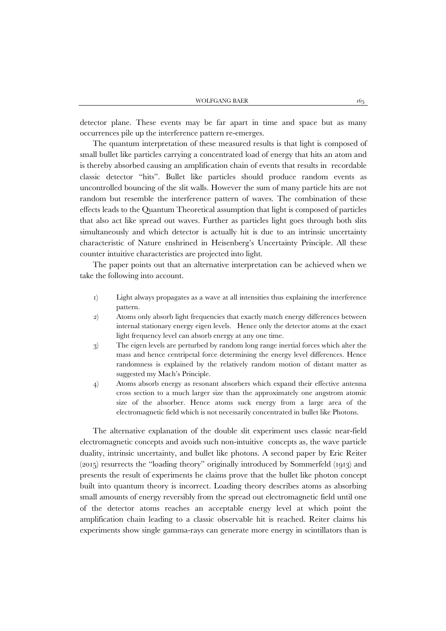detector plane. These events may be far apart in time and space but as many occurrences pile up the interference pattern re-emerges.

The quantum interpretation of these measured results is that light is composed of small bullet like particles carrying a concentrated load of energy that hits an atom and is thereby absorbed causing an amplification chain of events that results in recordable classic detector "hits". Bullet like particles should produce random events as uncontrolled bouncing of the slit walls. However the sum of many particle hits are not random but resemble the interference pattern of waves. The combination of these effects leads to the Quantum Theoretical assumption that light is composed of particles that also act like spread out waves. Further as particles light goes through both slits simultaneously and which detector is actually hit is due to an intrinsic uncertainty characteristic of Nature enshrined in Heisenberg's Uncertainty Principle. All these counter intuitive characteristics are projected into light.

The paper points out that an alternative interpretation can be achieved when we take the following into account.

- 1) Light always propagates as a wave at all intensities thus explaining the interference pattern.
- 2) Atoms only absorb light frequencies that exactly match energy differences between internal stationary energy eigen levels. Hence only the detector atoms at the exact light frequency level can absorb energy at any one time.
- 3) The eigen levels are perturbed by random long range inertial forces which alter the mass and hence centripetal force determining the energy level differences. Hence randomness is explained by the relatively random motion of distant matter as suggested my Mach's Principle.
- 4) Atoms absorb energy as resonant absorbers which expand their effective antenna cross section to a much larger size than the approximately one angstrom atomic size of the absorber. Hence atoms suck energy from a large area of the electromagnetic field which is not necessarily concentrated in bullet like Photons.

The alternative explanation of the double slit experiment uses classic near-field electromagnetic concepts and avoids such non-intuitive concepts as, the wave particle duality, intrinsic uncertainty, and bullet like photons. A second paper by Eric Reiter (2015) resurrects the "loading theory" originally introduced by Sommerfeld (1913) and presents the result of experiments he claims prove that the bullet like photon concept built into quantum theory is incorrect. Loading theory describes atoms as absorbing small amounts of energy reversibly from the spread out electromagnetic field until one of the detector atoms reaches an acceptable energy level at which point the amplification chain leading to a classic observable hit is reached. Reiter claims his experiments show single gamma-rays can generate more energy in scintillators than is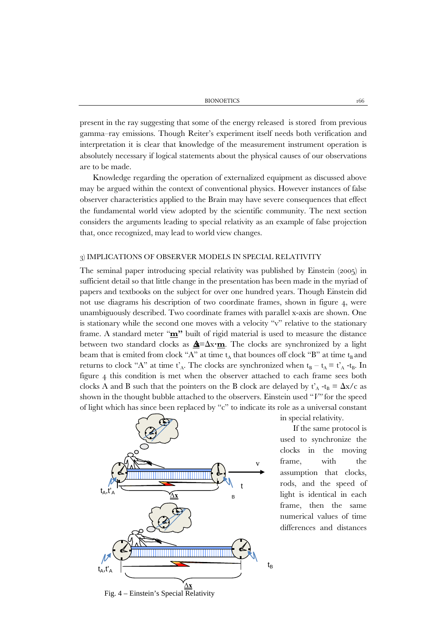present in the ray suggesting that some of the energy released is stored from previous gamma–ray emissions. Though Reiter's experiment itself needs both verification and interpretation it is clear that knowledge of the measurement instrument operation is absolutely necessary if logical statements about the physical causes of our observations are to be made.

Knowledge regarding the operation of externalized equipment as discussed above may be argued within the context of conventional physics. However instances of false observer characteristics applied to the Brain may have severe consequences that effect the fundamental world view adopted by the scientific community. The next section considers the arguments leading to special relativity as an example of false projection that, once recognized, may lead to world view changes.

#### 3) IMPLICATIONS OF OBSERVER MODELS IN SPECIAL RELATIVITY

The seminal paper introducing special relativity was published by Einstein (2005) in sufficient detail so that little change in the presentation has been made in the myriad of papers and textbooks on the subject for over one hundred years. Though Einstein did not use diagrams his description of two coordinate frames, shown in figure 4, were unambiguously described. Two coordinate frames with parallel x-axis are shown. One is stationary while the second one moves with a velocity "v" relative to the stationary frame. A standard meter "**m"** built of rigid material is used to measure the distance between two standard clocks as ∆**x**=∆x∙**m**. The clocks are synchronized by a light beam that is emited from clock "A" at time  $t_A$  that bounces off clock "B" at time  $t_B$  and returns to clock "A" at time  $t_A$ . The clocks are synchronized when  $t_B - t_A = t_A^2 - t_B$ . In figure 4 this condition is met when the observer attached to each frame sees both clocks A and B such that the pointers on the B clock are delayed by  $t'_{A}$  -t<sub>B</sub> =  $\Delta x/c$  as shown in the thought bubble attached to the observers. Einstein used "*V"* for the speed of light which has since been replaced by "c" to indicate its role as a universal constant



Fig. 4 – Einstein's Special Relativity

in special relativity.

If the same protocol is used to synchronize the clocks in the moving frame, with the assumption that clocks, rods, and the speed of light is identical in each frame, then the same numerical values of time differences and distances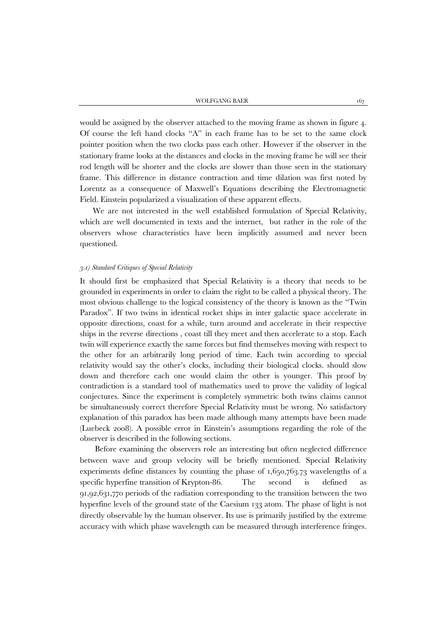would be assigned by the observer attached to the moving frame as shown in figure 4. Of course the left hand clocks "A" in each frame has to be set to the same clock pointer position when the two clocks pass each other. However if the observer in the stationary frame looks at the distances and clocks in the moving frame he will see their rod length will be shorter and the clocks are slower than those seen in the stationary frame. This difference in distance contraction and time dilation was first noted by Lorentz as a consequence of Maxwell's Equations describing the Electromagnetic Field. Einstein popularized a visualization of these apparent effects.

We are not interested in the well established formulation of Special Relativity, which are well documented in texts and the internet, but rather in the role of the observers whose characteristics have been implicitly assumed and never been questioned.

#### *3.1) Standard Critiques of Special Relativity*

It should first be emphasized that Special Relativity is a theory that needs to be grounded in experiments in order to claim the right to be called a physical theory. The most obvious challenge to the logical consistency of the theory is known as the "Twin Paradox". If two twins in identical rocket ships in inter galactic space accelerate in opposite directions, coast for a while, turn around and accelerate in their respective ships in the reverse directions , coast till they meet and then accelerate to a stop. Each twin will experience exactly the same forces but find themselves moving with respect to the other for an arbitrarily long period of time. Each twin according to special relativity would say the other's clocks, including their biological clocks. should slow down and therefore each one would claim the other is younger. This proof by contradiction is a standard tool of mathematics used to prove the validity of logical conjectures. Since the experiment is completely symmetric both twins claims cannot be simultaneously correct therefore Special Relativity must be wrong. No satisfactory explanation of this paradox has been made although many attempts have been made (Luebeck 2008). A possible error in Einstein's assumptions regarding the role of the observer is described in the following sections.

Before examining the observers role an interesting but often neglected difference between wave and group velocity will be briefly mentioned. Special Relativity experiments define distances by counting the phase of 1,650,763.73 wavelengths of a specific hyperfine transition of Krypton-86. The second is defined as 91,92,631,770 periods of the radiation corresponding to the transition between the two hyperfine levels of the ground state of the Caesium 133 atom. The phase of light is not directly observable by the human observer. Its use is primarily justified by the extreme accuracy with which phase wavelength can be measured through interference fringes.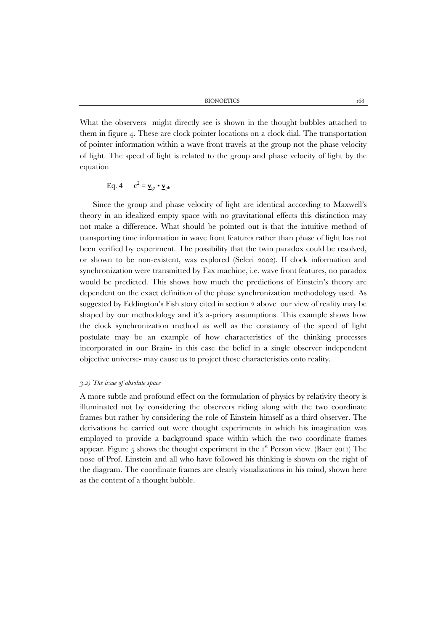BIONOETICS 168

What the observers might directly see is shown in the thought bubbles attached to them in figure 4. These are clock pointer locations on a clock dial. The transportation of pointer information within a wave front travels at the group not the phase velocity of light. The speed of light is related to the group and phase velocity of light by the equation

$$
Eq. 4 \qquad c^2 = \underline{\mathbf{v}}_{gr} \bullet \underline{\mathbf{v}}_{ph}
$$

Since the group and phase velocity of light are identical according to Maxwell's theory in an idealized empty space with no gravitational effects this distinction may not make a difference. What should be pointed out is that the intuitive method of transporting time information in wave front features rather than phase of light has not been verified by experiment. The possibility that the twin paradox could be resolved, or shown to be non-existent, was explored (Seleri 2002). If clock information and synchronization were transmitted by Fax machine, i.e. wave front features, no paradox would be predicted. This shows how much the predictions of Einstein's theory are dependent on the exact definition of the phase synchronization methodology used. As suggested by Eddington's Fish story cited in section 2 above our view of reality may be shaped by our methodology and it's a-priory assumptions. This example shows how the clock synchronization method as well as the constancy of the speed of light postulate may be an example of how characteristics of the thinking processes incorporated in our Brain- in this case the belief in a single observer independent objective universe- may cause us to project those characteristics onto reality.

#### *3.2) The issue of absolute space*

A more subtle and profound effect on the formulation of physics by relativity theory is illuminated not by considering the observers riding along with the two coordinate frames but rather by considering the role of Einstein himself as a third observer. The derivations he carried out were thought experiments in which his imagination was employed to provide a background space within which the two coordinate frames appear. Figure  $\frac{1}{2}$  shows the thought experiment in the  $I^{\text{st}}$  Person view. (Baer 2011) The nose of Prof. Einstein and all who have followed his thinking is shown on the right of the diagram. The coordinate frames are clearly visualizations in his mind, shown here as the content of a thought bubble.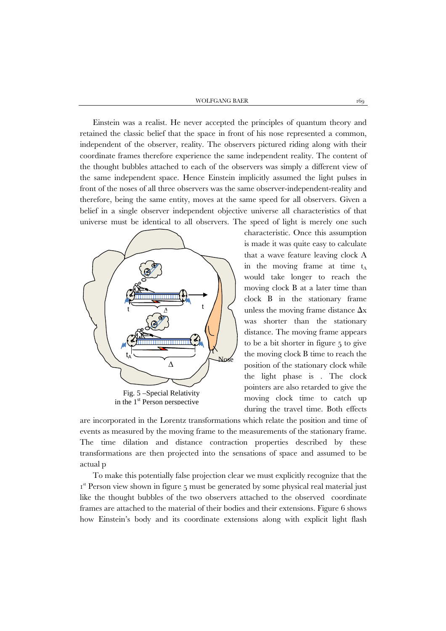Einstein was a realist. He never accepted the principles of quantum theory and retained the classic belief that the space in front of his nose represented a common, independent of the observer, reality. The observers pictured riding along with their coordinate frames therefore experience the same independent reality. The content of the thought bubbles attached to each of the observers was simply a different view of the same independent space. Hence Einstein implicitly assumed the light pulses in front of the noses of all three observers was the same observer-independent-reality and therefore, being the same entity, moves at the same speed for all observers. Given a belief in a single observer independent objective universe all characteristics of that universe must be identical to all observers. The speed of light is merely one such



in the 1<sup>st</sup> Person perspective

characteristic. Once this assumption is made it was quite easy to calculate that a wave feature leaving clock A in the moving frame at time  $t_A$ would take longer to reach the moving clock B at a later time than clock B in the stationary frame unless the moving frame distance  $\Delta x$ was shorter than the stationary distance. The moving frame appears to be a bit shorter in figure 5 to give the moving clock B time to reach the position of the stationary clock while the light phase is . The clock pointers are also retarded to give the moving clock time to catch up during the travel time. Both effects

are incorporated in the Lorentz transformations which relate the position and time of events as measured by the moving frame to the measurements of the stationary frame. The time dilation and distance contraction properties described by these transformations are then projected into the sensations of space and assumed to be actual p

To make this potentially false projection clear we must explicitly recognize that the I<sup>st</sup> Person view shown in figure 5 must be generated by some physical real material just like the thought bubbles of the two observers attached to the observed coordinate frames are attached to the material of their bodies and their extensions. Figure 6 shows how Einstein's body and its coordinate extensions along with explicit light flash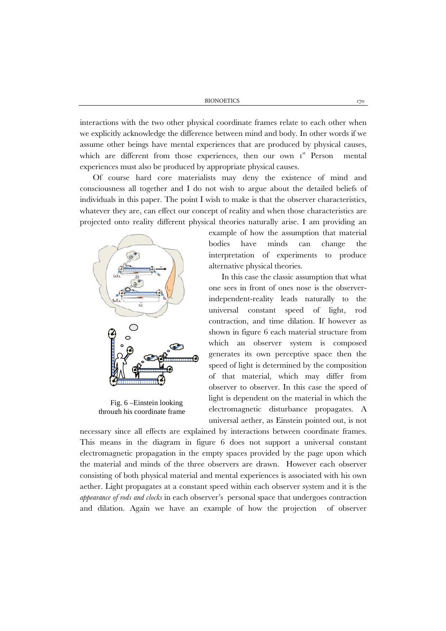interactions with the two other physical coordinate frames relate to each other when we explicitly acknowledge the difference between mind and body. In other words if we assume other beings have mental experiences that are produced by physical causes, which are different from those experiences, then our own Ist Person mental experiences must also be produced by appropriate physical causes.

Of course hard core materialists may deny the existence of mind and consciousness all together and I do not wish to argue about the detailed beliefs of individuals in this paper. The point I wish to make is that the observer characteristics, whatever they are, can effect our concept of reality and when those characteristics are projected onto reality different physical theories naturally arise. I am providing an



Fig. 6 –Einstein looking through his coordinate frame

example of how the assumption that material bodies have minds can change the interpretation of experiments to produce alternative physical theories.

In this case the classic assumption that what one sees in front of ones nose is the observerindependent-reality leads naturally to the universal constant speed of light, rod contraction, and time dilation. If however as shown in figure 6 each material structure from which an observer system is composed generates its own perceptive space then the speed of light is determined by the composition of that material, which may differ from observer to observer. In this case the speed of light is dependent on the material in which the electromagnetic disturbance propagates. A universal aether, as Einstein pointed out, is not

necessary since all effects are explained by interactions between coordinate frames. This means in the diagram in figure 6 does not support a universal constant electromagnetic propagation in the empty spaces provided by the page upon which the material and minds of the three observers are drawn. However each observer consisting of both physical material and mental experiences is associated with his own aether. Light propagates at a constant speed within each observer system and it is the *appearance of rods and clocks* in each observer's personal space that undergoes contraction and dilation. Again we have an example of how the projection of observer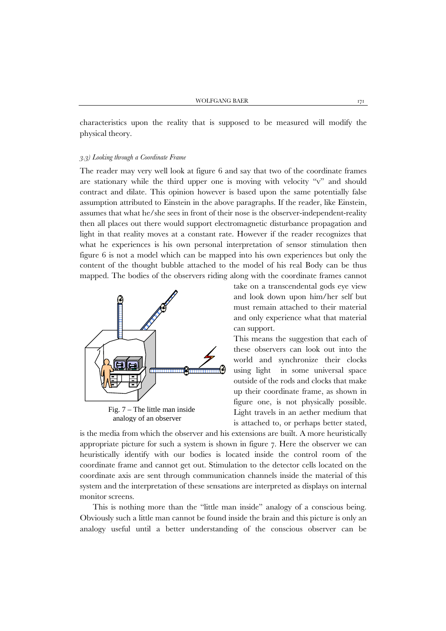characteristics upon the reality that is supposed to be measured will modify the physical theory.

#### *3.3) Looking through a Coordinate Frame*

The reader may very well look at figure 6 and say that two of the coordinate frames are stationary while the third upper one is moving with velocity "v" and should contract and dilate. This opinion however is based upon the same potentially false assumption attributed to Einstein in the above paragraphs. If the reader, like Einstein, assumes that what he/she sees in front of their nose is the observer-independent-reality then all places out there would support electromagnetic disturbance propagation and light in that reality moves at a constant rate. However if the reader recognizes that what he experiences is his own personal interpretation of sensor stimulation then figure 6 is not a model which can be mapped into his own experiences but only the content of the thought bubble attached to the model of his real Body can be thus mapped. The bodies of the observers riding along with the coordinate frames cannot



Fig.  $7 -$ The little man inside analogy of an observer

take on a transcendental gods eye view and look down upon him/her self but must remain attached to their material and only experience what that material can support.

This means the suggestion that each of these observers can look out into the world and synchronize their clocks using light in some universal space outside of the rods and clocks that make up their coordinate frame, as shown in figure one, is not physically possible. Light travels in an aether medium that is attached to, or perhaps better stated,

is the media from which the observer and his extensions are built. A more heuristically appropriate picture for such a system is shown in figure 7. Here the observer we can heuristically identify with our bodies is located inside the control room of the coordinate frame and cannot get out. Stimulation to the detector cells located on the coordinate axis are sent through communication channels inside the material of this system and the interpretation of these sensations are interpreted as displays on internal monitor screens.

This is nothing more than the "little man inside" analogy of a conscious being. Obviously such a little man cannot be found inside the brain and this picture is only an analogy useful until a better understanding of the conscious observer can be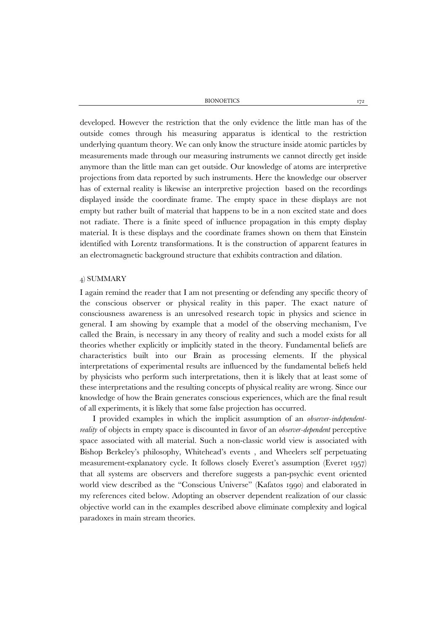BIONOETICS 172

developed. However the restriction that the only evidence the little man has of the outside comes through his measuring apparatus is identical to the restriction underlying quantum theory. We can only know the structure inside atomic particles by measurements made through our measuring instruments we cannot directly get inside anymore than the little man can get outside. Our knowledge of atoms are interpretive projections from data reported by such instruments. Here the knowledge our observer has of external reality is likewise an interpretive projection based on the recordings displayed inside the coordinate frame. The empty space in these displays are not empty but rather built of material that happens to be in a non excited state and does not radiate. There is a finite speed of influence propagation in this empty display material. It is these displays and the coordinate frames shown on them that Einstein identified with Lorentz transformations. It is the construction of apparent features in an electromagnetic background structure that exhibits contraction and dilation.

### 4) SUMMARY

I again remind the reader that I am not presenting or defending any specific theory of the conscious observer or physical reality in this paper. The exact nature of consciousness awareness is an unresolved research topic in physics and science in general. I am showing by example that a model of the observing mechanism, I've called the Brain, is necessary in any theory of reality and such a model exists for all theories whether explicitly or implicitly stated in the theory. Fundamental beliefs are characteristics built into our Brain as processing elements. If the physical interpretations of experimental results are influenced by the fundamental beliefs held by physicists who perform such interpretations, then it is likely that at least some of these interpretations and the resulting concepts of physical reality are wrong. Since our knowledge of how the Brain generates conscious experiences, which are the final result of all experiments, it is likely that some false projection has occurred.

I provided examples in which the implicit assumption of an *observer-independentreality* of objects in empty space is discounted in favor of an *observer-dependent* perceptive space associated with all material. Such a non-classic world view is associated with Bishop Berkeley's philosophy, Whitehead's events , and Wheelers self perpetuating measurement-explanatory cycle. It follows closely Everet's assumption (Everet 1957) that all systems are observers and therefore suggests a pan-psychic event oriented world view described as the "Conscious Universe" (Kafatos 1990) and elaborated in my references cited below. Adopting an observer dependent realization of our classic objective world can in the examples described above eliminate complexity and logical paradoxes in main stream theories.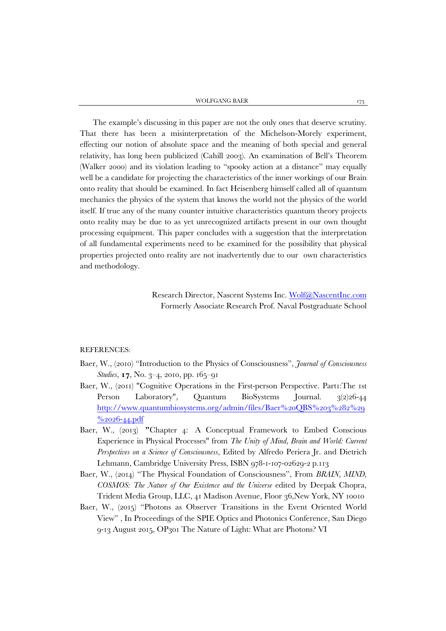WOLFGANG BAER 173

The example's discussing in this paper are not the only ones that deserve scrutiny. That there has been a misinterpretation of the Michelson-Morely experiment, effecting our notion of absolute space and the meaning of both special and general relativity, has long been publicized (Cahill 2003). An examination of Bell's Theorem (Walker 2000) and its violation leading to "spooky action at a distance" may equally well be a candidate for projecting the characteristics of the inner workings of our Brain onto reality that should be examined. In fact Heisenberg himself called all of quantum mechanics the physics of the system that knows the world not the physics of the world itself. If true any of the many counter intuitive characteristics quantum theory projects onto reality may be due to as yet unrecognized artifacts present in our own thought processing equipment. This paper concludes with a suggestion that the interpretation of all fundamental experiments need to be examined for the possibility that physical properties projected onto reality are not inadvertently due to our own characteristics and methodology.

> Research Director, Nascent Systems Inc. [Wolf@NascentInc.com](mailto:Wolf@NascentInc.com) Formerly Associate Research Prof. Naval Postgraduate School

#### REFERENCES:

- Baer, W., (2010) "Introduction to the Physics of Consciousness", *Journal of Consciousness Studies*, **17**, No. 3–4, 2010, pp. 165–91
- Baer, W., (2011) "Cognitive Operations in the First-person Perspective. Part1:The 1st Person Laboratory", Quantum BioSystems Journal. 3(2)26-44 [http://www.quantumbiosystems.org/admin/files/Baer%20QBS%203%282%29](http://www.quantumbiosystems.org/admin/files/Baer%20QBS%203%282%29%2026-44.pdf)  $\%$ 2026-44.pdf
- Baer, W., (2013) **"**Chapter 4: A Conceptual Framework to Embed Conscious Experience in Physical Processes" from *The Unity of Mind, Brain and World: Current Perspectives on a Science of Consciousness*, Edited by Alfredo Periera Jr. and Dietrich Lehmann, Cambridge University Press, ISBN 978-1-107-02629-2 p.113
- Baer, W., (2014) "The Physical Foundation of Consciousness", From *BRAIN, MIND, COSMOS: The Nature of Our Existence and the Universe* edited by Deepak Chopra, Trident Media Group, LLC, 41 Madison Avenue, Floor 36,New York, NY 10010
- Baer, W., (2015) "Photons as Observer Transitions in the Event Oriented World View" , In Proceedings of the SPIE Optics and Photonics Conference, San Diego 9-13 August 2015, OP301 The Nature of Light: What are Photons? VI